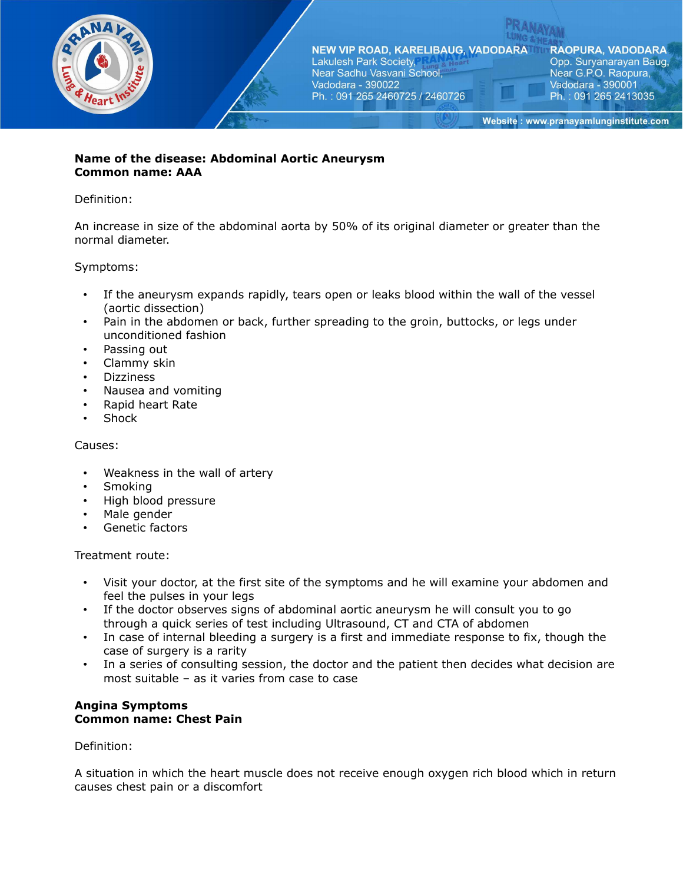

### **Name of the disease: Abdominal Aortic Aneurysm Common name: AAA**

## Definition:

An increase in size of the abdominal aorta by 50% of its original diameter or greater than the normal diameter.

## Symptoms:

- If the aneurysm expands rapidly, tears open or leaks blood within the wall of the vessel (aortic dissection)
- Pain in the abdomen or back, further spreading to the groin, buttocks, or legs under unconditioned fashion
- Passing out
- Clammy skin
- Dizziness
- Nausea and vomiting
- Rapid heart Rate
- **Shock**

## Causes:

- Weakness in the wall of artery
- Smoking
- High blood pressure
- Male gender
- Genetic factors

### Treatment route:

- Visit your doctor, at the first site of the symptoms and he will examine your abdomen and feel the pulses in your legs
- If the doctor observes signs of abdominal aortic aneurysm he will consult you to go through a quick series of test including Ultrasound, CT and CTA of abdomen
- In case of internal bleeding a surgery is a first and immediate response to fix, though the case of surgery is a rarity
- In a series of consulting session, the doctor and the patient then decides what decision are most suitable – as it varies from case to case

## **Angina Symptoms Common name: Chest Pain**

Definition:

A situation in which the heart muscle does not receive enough oxygen rich blood which in return causes chest pain or a discomfort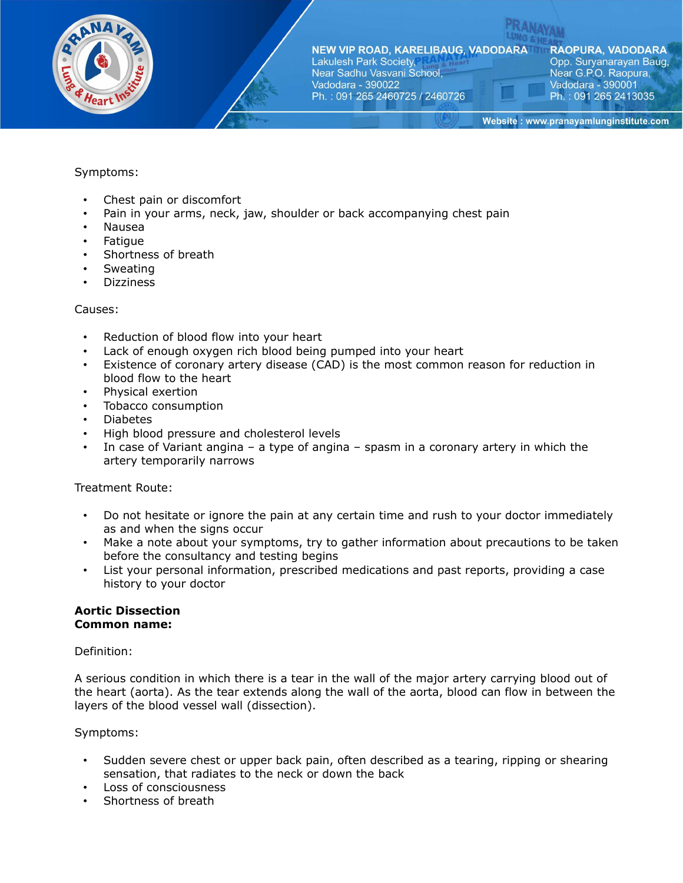

NEW VIP ROAD, KARELIBAUG, VADODARATH Lakulesh Park Society, Near Sadhu Vasvani School, Vadodara - 390022

Ph.: 091 265 2460725 / 2460726

**RAOPURA, VADODARA** Opp. Suryanarayan Baug, Near G.P.O. Raopura, Vadodara - 390001 Ph.: 091 265 2413035

Website: www.pranayamlunginstitute.com

## Symptoms:

- Chest pain or discomfort
- Pain in your arms, neck, jaw, shoulder or back accompanying chest pain
- Nausea
- Fatigue
- Shortness of breath
- **Sweating**
- **Dizziness**

### Causes:

- Reduction of blood flow into your heart
- Lack of enough oxygen rich blood being pumped into your heart
- Existence of coronary artery disease (CAD) is the most common reason for reduction in blood flow to the heart
- Physical exertion
- Tobacco consumption
- Diabetes
- High blood pressure and cholesterol levels
- In case of Variant angina a type of angina spasm in a coronary artery in which the artery temporarily narrows

### Treatment Route:

- Do not hesitate or ignore the pain at any certain time and rush to your doctor immediately as and when the signs occur
- Make a note about your symptoms, try to gather information about precautions to be taken before the consultancy and testing begins
- List your personal information, prescribed medications and past reports, providing a case history to your doctor

### **Aortic Dissection Common name:**

### Definition:

A serious condition in which there is a tear in the wall of the major artery carrying blood out of the heart (aorta). As the tear extends along the wall of the aorta, blood can flow in between the layers of the blood vessel wall (dissection).

### Symptoms:

- Sudden severe chest or upper back pain, often described as a tearing, ripping or shearing sensation, that radiates to the neck or down the back
- Loss of consciousness
- Shortness of breath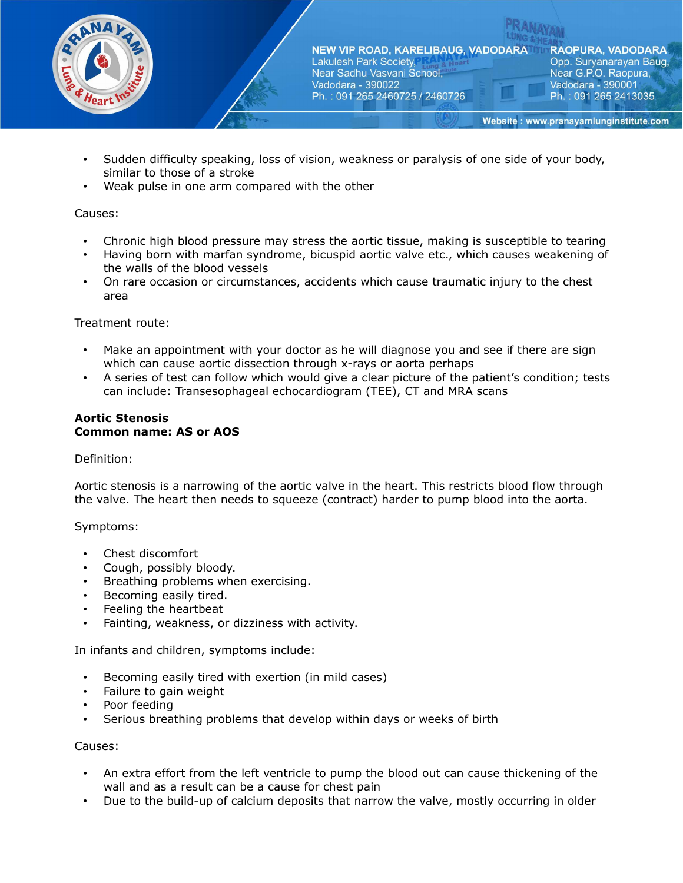

- Sudden difficulty speaking, loss of vision, weakness or paralysis of one side of your body, similar to those of a stroke
- Weak pulse in one arm compared with the other

## Causes:

- Chronic high blood pressure may stress the aortic tissue, making is susceptible to tearing
- Having born with marfan syndrome, bicuspid aortic valve etc., which causes weakening of the walls of the blood vessels
- On rare occasion or circumstances, accidents which cause traumatic injury to the chest area

### Treatment route:

- Make an appointment with your doctor as he will diagnose you and see if there are sign which can cause aortic dissection through x-rays or aorta perhaps
- A series of test can follow which would give a clear picture of the patient's condition; tests can include: Transesophageal echocardiogram (TEE), CT and MRA scans

#### **Aortic Stenosis Common name: AS or AOS**

### Definition:

Aortic stenosis is a narrowing of the aortic valve in the heart. This restricts blood flow through the valve. The heart then needs to squeeze (contract) harder to pump blood into the aorta.

### Symptoms:

- Chest discomfort
- Cough, possibly bloody.
- Breathing problems when exercising.
- Becoming easily tired.
- Feeling the heartbeat
- Fainting, weakness, or dizziness with activity.

In infants and children, symptoms include:

- Becoming easily tired with exertion (in mild cases)
- Failure to gain weight
- Poor feeding
- Serious breathing problems that develop within days or weeks of birth

### Causes:

- An extra effort from the left ventricle to pump the blood out can cause thickening of the wall and as a result can be a cause for chest pain
- Due to the build-up of calcium deposits that narrow the valve, mostly occurring in older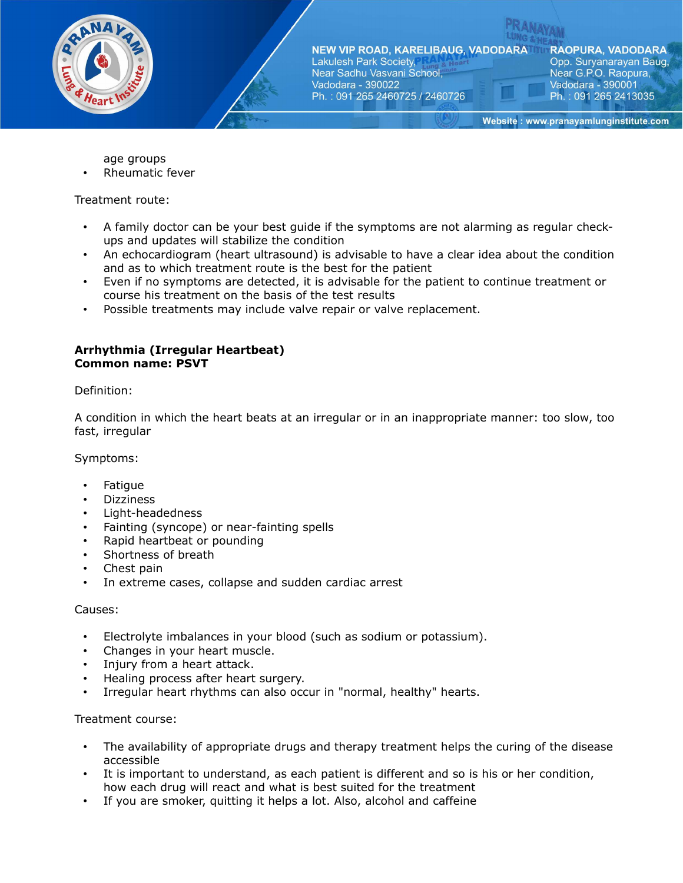

**RAOPURA, VADODARA** Opp. Suryanarayan Baug, Near G.P.O. Raopura, Vadodara - 390001 Ph.: 091 265 2413035

Website: www.pranayamlunginstitute.com

age groups

Rheumatic fever

Treatment route:

- A family doctor can be your best guide if the symptoms are not alarming as regular checkups and updates will stabilize the condition
- An echocardiogram (heart ultrasound) is advisable to have a clear idea about the condition and as to which treatment route is the best for the patient
- Even if no symptoms are detected, it is advisable for the patient to continue treatment or course his treatment on the basis of the test results
- Possible treatments may include valve repair or valve replacement.

### **Arrhythmia (Irregular Heartbeat) Common name: PSVT**

Definition:

A condition in which the heart beats at an irregular or in an inappropriate manner: too slow, too fast, irregular

Symptoms:

- **Fatique**
- Dizziness
- Light-headedness
- Fainting (syncope) or near-fainting spells
- Rapid heartbeat or pounding
- Shortness of breath
- Chest pain
- In extreme cases, collapse and sudden cardiac arrest

#### Causes:

- Electrolyte imbalances in your blood (such as sodium or potassium).
- Changes in your heart muscle.
- Injury from a heart attack.
- Healing process after heart surgery.
- Irregular heart rhythms can also occur in "normal, healthy" hearts.

#### Treatment course:

- The availability of appropriate drugs and therapy treatment helps the curing of the disease accessible
- It is important to understand, as each patient is different and so is his or her condition, how each drug will react and what is best suited for the treatment
- If you are smoker, quitting it helps a lot. Also, alcohol and caffeine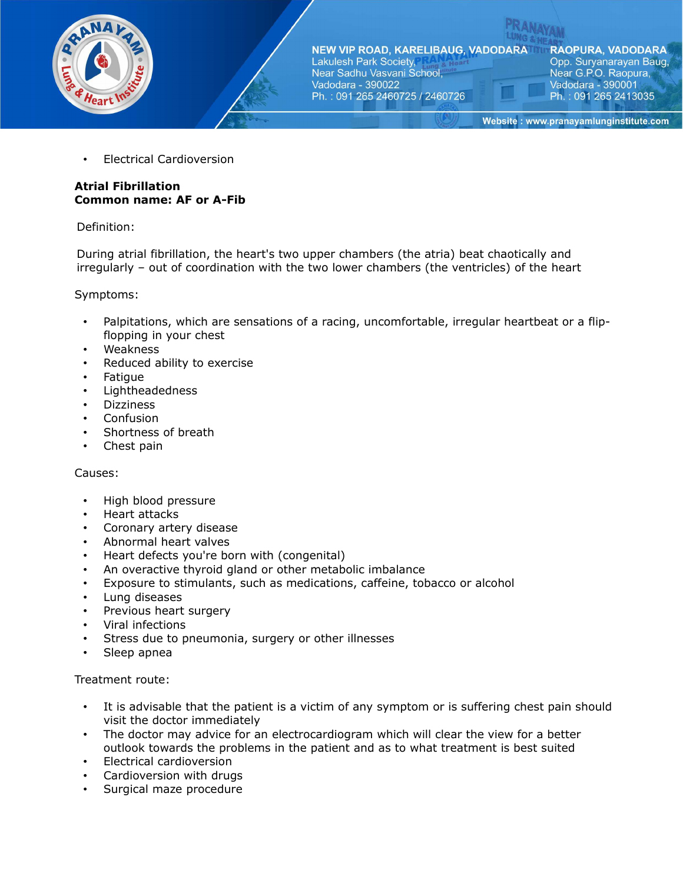

**RAOPURA, VADODARA** Opp. Suryanarayan Baug, Near G.P.O. Raopura, Vadodara - 390001 Ph.: 091 265 2413035

Website: www.pranayamlunginstitute.com

• Electrical Cardioversion

# **Atrial Fibrillation Common name: AF or A-Fib**

## Definition:

During atrial fibrillation, the heart's two upper chambers (the atria) beat chaotically and irregularly – out of coordination with the two lower chambers (the ventricles) of the heart

Symptoms:

- Palpitations, which are sensations of a racing, uncomfortable, irregular heartbeat or a flipflopping in your chest
- Weakness
- Reduced ability to exercise
- Fatigue
- Lightheadedness
- Dizziness
- Confusion
- Shortness of breath
- Chest pain

### Causes:

- High blood pressure
- Heart attacks
- Coronary artery disease
- Abnormal heart valves
- Heart defects you're born with (congenital)
- An overactive thyroid gland or other metabolic imbalance
- Exposure to stimulants, such as medications, caffeine, tobacco or alcohol
- Lung diseases
- Previous heart surgery
- Viral infections
- Stress due to pneumonia, surgery or other illnesses
- Sleep apnea

- It is advisable that the patient is a victim of any symptom or is suffering chest pain should visit the doctor immediately
- The doctor may advice for an electrocardiogram which will clear the view for a better outlook towards the problems in the patient and as to what treatment is best suited
- Electrical cardioversion
- Cardioversion with drugs
- Surgical maze procedure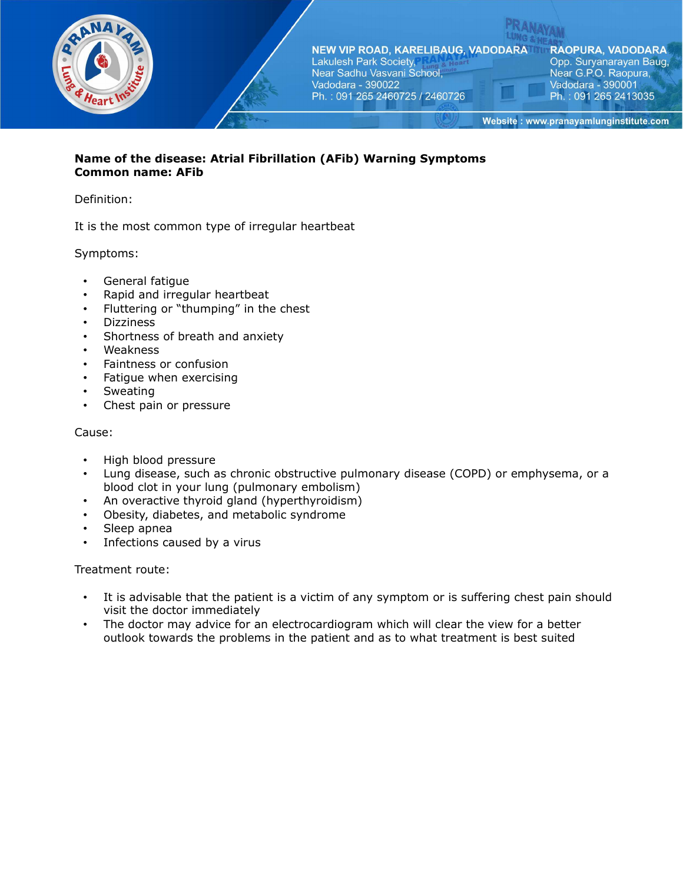

# **Name of the disease: Atrial Fibrillation (AFib) Warning Symptoms Common name: AFib**

## Definition:

It is the most common type of irregular heartbeat

## Symptoms:

- General fatigue
- Rapid and irregular heartbeat
- Fluttering or "thumping" in the chest
- Dizziness
- Shortness of breath and anxiety
- Weakness
- Faintness or confusion
- Fatigue when exercising
- **Sweating**
- Chest pain or pressure

### Cause:

- High blood pressure
- Lung disease, such as chronic obstructive pulmonary disease (COPD) or emphysema, or a blood clot in your lung (pulmonary embolism)
- An overactive thyroid gland (hyperthyroidism)
- Obesity, diabetes, and metabolic syndrome
- Sleep apnea
- Infections caused by a virus

- It is advisable that the patient is a victim of any symptom or is suffering chest pain should visit the doctor immediately
- The doctor may advice for an electrocardiogram which will clear the view for a better outlook towards the problems in the patient and as to what treatment is best suited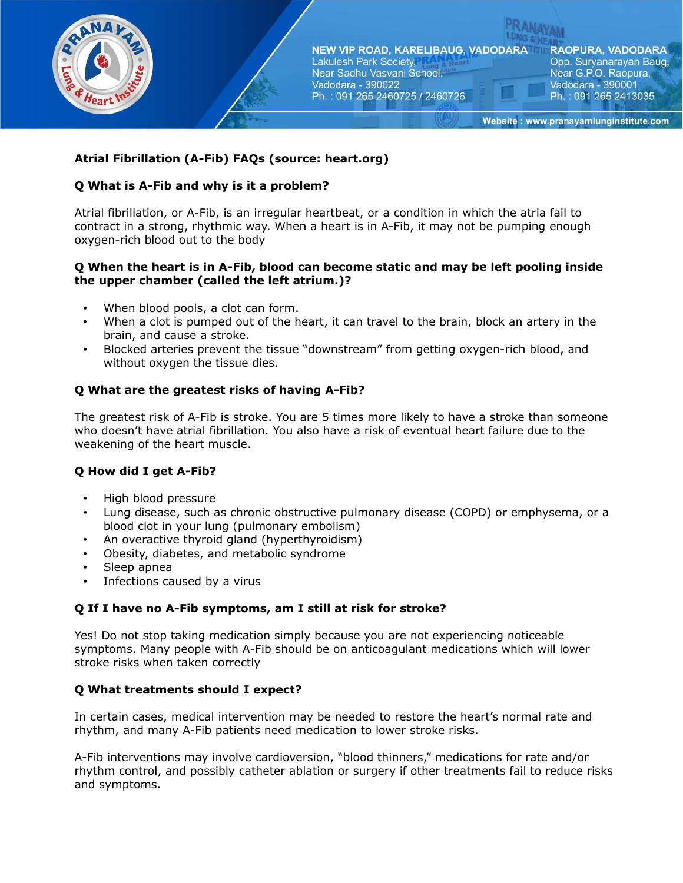

# **Atrial Fibrillation (A-Fib) FAQs (source: heart.org)**

## **Q What is A-Fib and why is it a problem?**

Atrial fibrillation, or A-Fib, is an irregular heartbeat, or a condition in which the atria fail to contract in a strong, rhythmic way. When a heart is in A-Fib, it may not be pumping enough oxygen-rich blood out to the body

# **Q When the heart is in A-Fib, blood can become static and may be left pooling inside the upper chamber (called the left atrium.)?**

- When blood pools, a clot can form.
- When a clot is pumped out of the heart, it can travel to the brain, block an artery in the brain, and cause a stroke.
- Blocked arteries prevent the tissue "downstream" from getting oxygen-rich blood, and without oxygen the tissue dies.

# **Q What are the greatest risks of having A-Fib?**

The greatest risk of A-Fib is stroke. You are 5 times more likely to have a stroke than someone who doesn't have atrial fibrillation. You also have a risk of eventual heart failure due to the weakening of the heart muscle.

### **Q How did I get A-Fib?**

- High blood pressure
- Lung disease, such as chronic obstructive pulmonary disease (COPD) or emphysema, or a blood clot in your lung (pulmonary embolism)
- An overactive thyroid gland (hyperthyroidism)
- Obesity, diabetes, and metabolic syndrome
- Sleep apnea
- Infections caused by a virus

### **Q If I have no A-Fib symptoms, am I still at risk for stroke?**

Yes! Do not stop taking medication simply because you are not experiencing noticeable symptoms. Many people with A-Fib should be on anticoagulant medications which will lower stroke risks when taken correctly

### **Q What treatments should I expect?**

In certain cases, medical intervention may be needed to restore the heart's normal rate and rhythm, and many A-Fib patients need medication to lower stroke risks.

A-Fib interventions may involve cardioversion, "blood thinners," medications for rate and/or rhythm control, and possibly catheter ablation or surgery if other treatments fail to reduce risks and symptoms.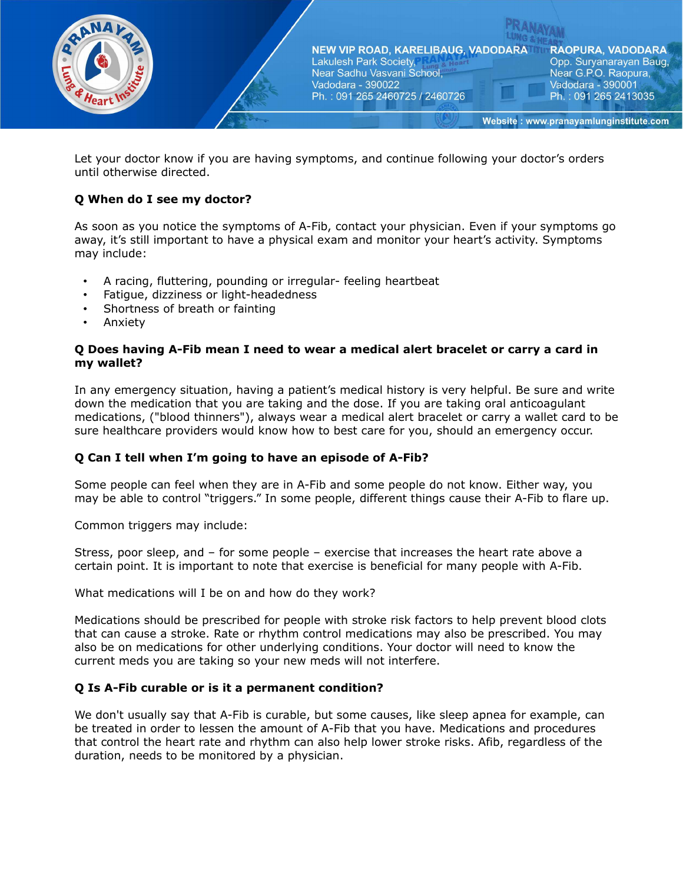

Let your doctor know if you are having symptoms, and continue following your doctor's orders until otherwise directed.

# **Q When do I see my doctor?**

As soon as you notice the symptoms of A-Fib, contact your physician. Even if your symptoms go away, it's still important to have a physical exam and monitor your heart's activity. Symptoms may include:

- A racing, fluttering, pounding or irregular- feeling heartbeat
- Fatigue, dizziness or light-headedness
- Shortness of breath or fainting
- Anxiety

### **Q Does having A-Fib mean I need to wear a medical alert bracelet or carry a card in my wallet?**

In any emergency situation, having a patient's medical history is very helpful. Be sure and write down the medication that you are taking and the dose. If you are taking oral anticoagulant medications, ("blood thinners"), always wear a medical alert bracelet or carry a wallet card to be sure healthcare providers would know how to best care for you, should an emergency occur.

# **Q Can I tell when I'm going to have an episode of A-Fib?**

Some people can feel when they are in A-Fib and some people do not know. Either way, you may be able to control "triggers." In some people, different things cause their A-Fib to flare up.

Common triggers may include:

Stress, poor sleep, and – for some people – exercise that increases the heart rate above a certain point. It is important to note that exercise is beneficial for many people with A-Fib.

What medications will I be on and how do they work?

Medications should be prescribed for people with stroke risk factors to help prevent blood clots that can cause a stroke. Rate or rhythm control medications may also be prescribed. You may also be on medications for other underlying conditions. Your doctor will need to know the current meds you are taking so your new meds will not interfere.

### **Q Is A-Fib curable or is it a permanent condition?**

We don't usually say that A-Fib is curable, but some causes, like sleep apnea for example, can be treated in order to lessen the amount of A-Fib that you have. Medications and procedures that control the heart rate and rhythm can also help lower stroke risks. Afib, regardless of the duration, needs to be monitored by a physician.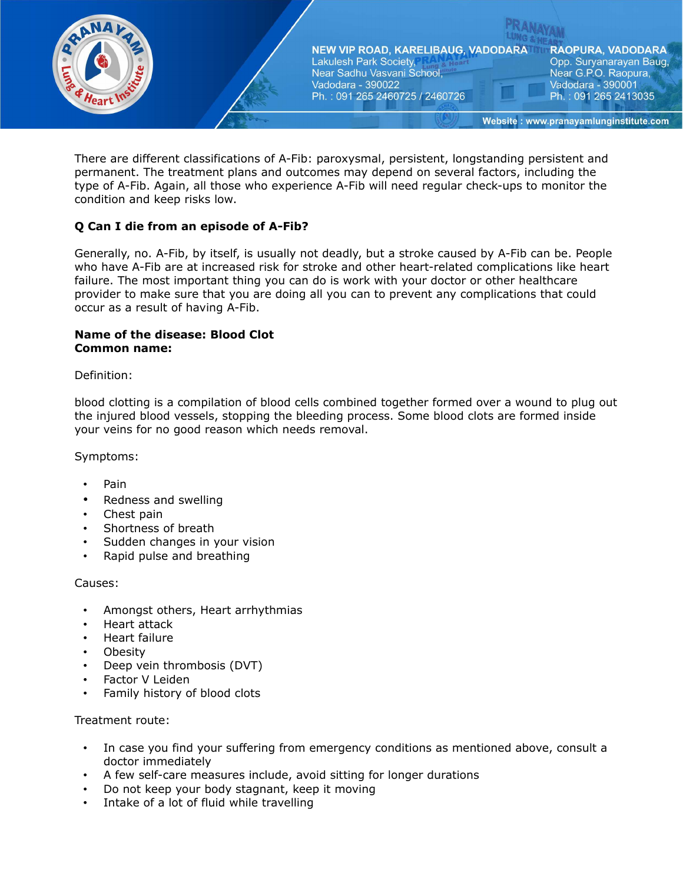

There are different classifications of A-Fib: paroxysmal, persistent, longstanding persistent and permanent. The treatment plans and outcomes may depend on several factors, including the type of A-Fib. Again, all those who experience A-Fib will need regular check-ups to monitor the condition and keep risks low.

# **Q Can I die from an episode of A-Fib?**

Generally, no. A-Fib, by itself, is usually not deadly, but a stroke caused by A-Fib can be. People who have A-Fib are at increased risk for stroke and other heart-related complications like heart failure. The most important thing you can do is work with your doctor or other healthcare provider to make sure that you are doing all you can to prevent any complications that could occur as a result of having A-Fib.

### **Name of the disease: Blood Clot Common name:**

## Definition:

blood clotting is a compilation of blood cells combined together formed over a wound to plug out the injured blood vessels, stopping the bleeding process. Some blood clots are formed inside your veins for no good reason which needs removal.

Symptoms:

- Pain
- Redness and swelling
- Chest pain
- Shortness of breath
- Sudden changes in your vision
- Rapid pulse and breathing

Causes:

- Amongst others, Heart arrhythmias
- Heart attack
- Heart failure
- **Obesity**
- Deep vein thrombosis (DVT)
- Factor V Leiden
- Family history of blood clots

- In case you find your suffering from emergency conditions as mentioned above, consult a doctor immediately
- A few self-care measures include, avoid sitting for longer durations
- Do not keep your body stagnant, keep it moving
- Intake of a lot of fluid while travelling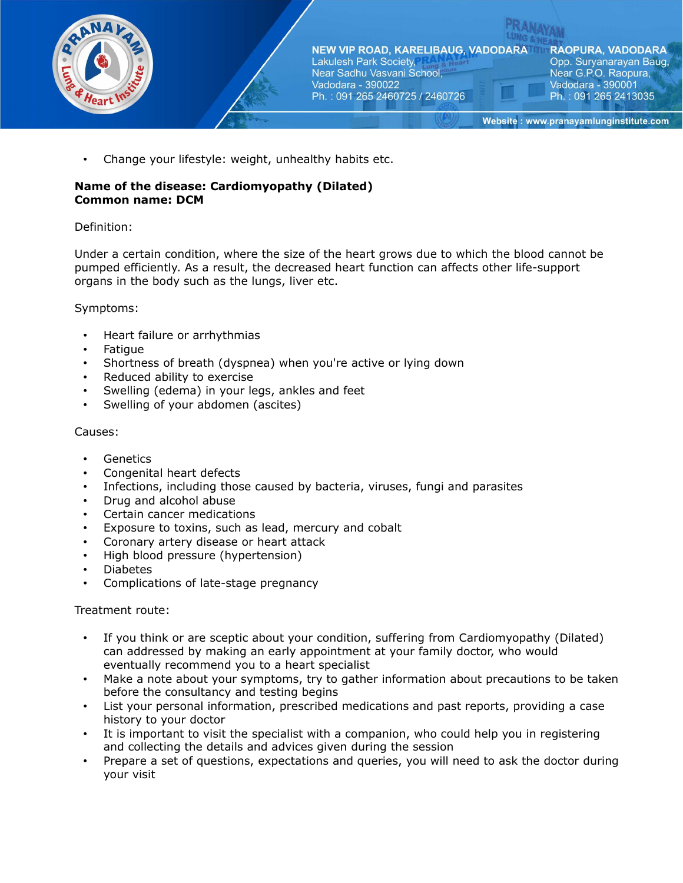

Change your lifestyle: weight, unhealthy habits etc.

# **Name of the disease: Cardiomyopathy (Dilated) Common name: DCM**

## Definition:

Under a certain condition, where the size of the heart grows due to which the blood cannot be pumped efficiently. As a result, the decreased heart function can affects other life-support organs in the body such as the lungs, liver etc.

### Symptoms:

- Heart failure or arrhythmias
- Fatigue
- Shortness of breath (dyspnea) when you're active or lying down
- Reduced ability to exercise
- Swelling (edema) in your legs, ankles and feet
- Swelling of your abdomen (ascites)

## Causes:

- **Genetics**
- Congenital heart defects
- Infections, including those caused by bacteria, viruses, fungi and parasites
- Drug and alcohol abuse
- Certain cancer medications
- Exposure to toxins, such as lead, mercury and cobalt
- Coronary artery disease or heart attack
- High blood pressure (hypertension)
- Diabetes
- Complications of late-stage pregnancy

- If you think or are sceptic about your condition, suffering from Cardiomyopathy (Dilated) can addressed by making an early appointment at your family doctor, who would eventually recommend you to a heart specialist
- Make a note about your symptoms, try to gather information about precautions to be taken before the consultancy and testing begins
- List your personal information, prescribed medications and past reports, providing a case history to your doctor
- It is important to visit the specialist with a companion, who could help you in registering and collecting the details and advices given during the session
- Prepare a set of questions, expectations and queries, you will need to ask the doctor during your visit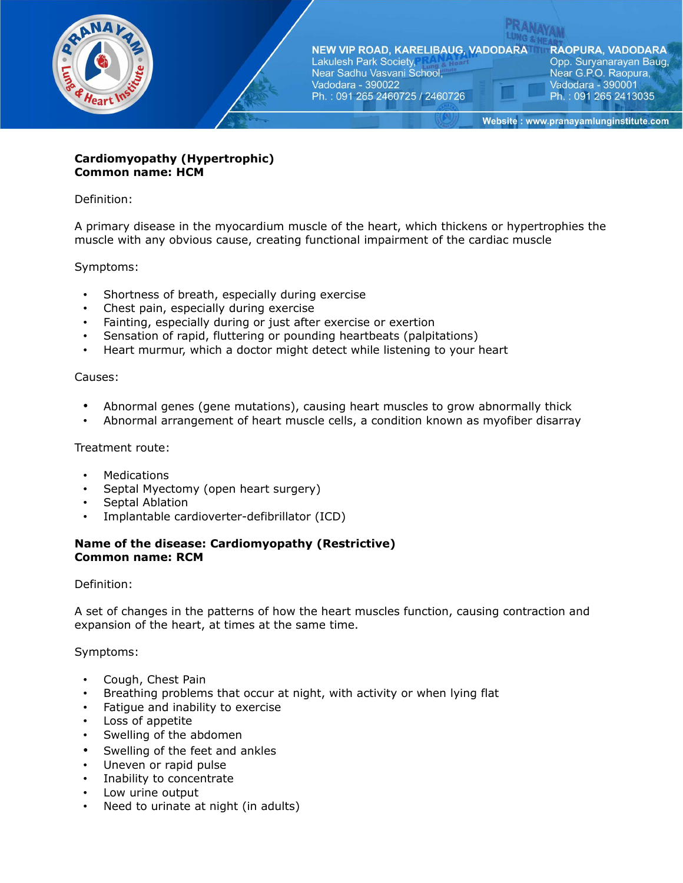

**RAOPURA, VADODARA** Opp. Suryanarayan Baug, Near G.P.O. Raopura, Vadodara - 390001 Ph.: 091 265 2413035

Website: www.pranayamlunginstitute.com

## **Cardiomyopathy (Hypertrophic) Common name: HCM**

Definition:

A primary disease in the myocardium muscle of the heart, which thickens or hypertrophies the muscle with any obvious cause, creating functional impairment of the cardiac muscle

Symptoms:

- Shortness of breath, especially during exercise
- Chest pain, especially during exercise
- Fainting, especially during or just after exercise or exertion
- Sensation of rapid, fluttering or pounding heartbeats (palpitations)
- Heart murmur, which a doctor might detect while listening to your heart

### Causes:

- Abnormal genes (gene mutations), causing heart muscles to grow abnormally thick
- Abnormal arrangement of heart muscle cells, a condition known as myofiber disarray

Treatment route:

- Medications
- Septal Myectomy (open heart surgery)
- Septal Ablation
- Implantable cardioverter-defibrillator (ICD)

### **Name of the disease: Cardiomyopathy (Restrictive) Common name: RCM**

Definition:

A set of changes in the patterns of how the heart muscles function, causing contraction and expansion of the heart, at times at the same time.

Symptoms:

- Cough, Chest Pain
- Breathing problems that occur at night, with activity or when lying flat
- Fatigue and inability to exercise
- Loss of appetite
- Swelling of the abdomen
- Swelling of the feet and ankles
- Uneven or rapid pulse
- Inability to concentrate
- Low urine output
- Need to urinate at night (in adults)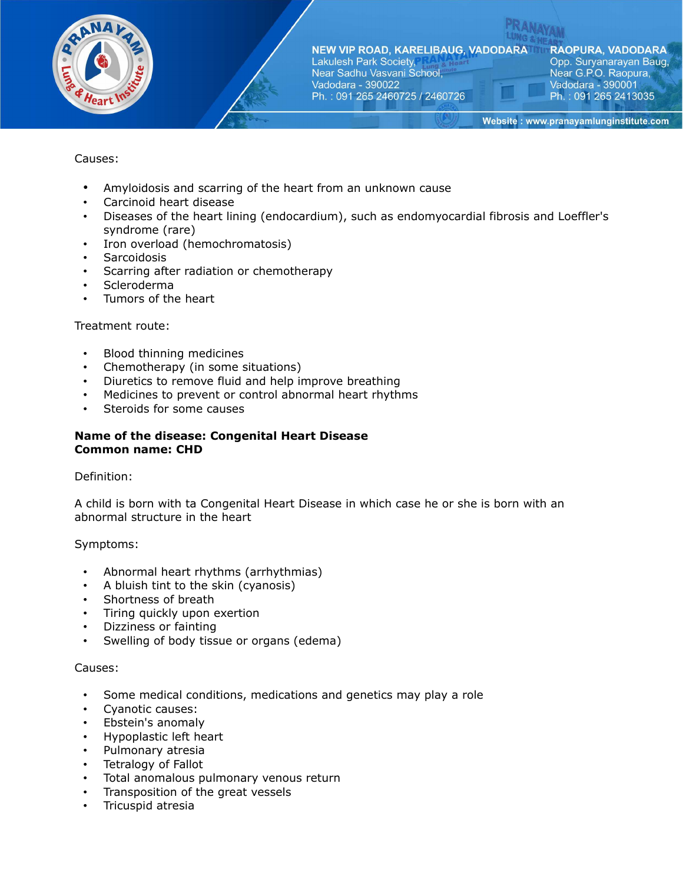

NEW VIP ROAD, KARELIBAUG, VADODARA Near Sadhu Vasvani School, Ph.: 091 265 2460725 / 2460726

**RAOPURA, VADODARA** Opp. Suryanarayan Baug, Near G.P.O. Raopura, Vadodara - 390001 Ph.: 091 265 2413035

Website: www.pranayamlunginstitute.com

# Causes:

- Amyloidosis and scarring of the heart from an unknown cause
- Carcinoid heart disease
- Diseases of the heart lining (endocardium), such as endomyocardial fibrosis and Loeffler's syndrome (rare)
- Iron overload (hemochromatosis)
- **Sarcoidosis**
- Scarring after radiation or chemotherapy
- Scleroderma
- Tumors of the heart

### Treatment route:

- Blood thinning medicines
- Chemotherapy (in some situations)
- Diuretics to remove fluid and help improve breathing
- Medicines to prevent or control abnormal heart rhythms
- Steroids for some causes

### **Name of the disease: Congenital Heart Disease Common name: CHD**

### Definition:

A child is born with ta Congenital Heart Disease in which case he or she is born with an abnormal structure in the heart

Symptoms:

- Abnormal heart rhythms (arrhythmias)
- A bluish tint to the skin (cyanosis)
- Shortness of breath
- Tiring quickly upon exertion
- Dizziness or fainting
- Swelling of body tissue or organs (edema)

### Causes:

- Some medical conditions, medications and genetics may play a role
- Cyanotic causes:
- Ebstein's anomaly
- Hypoplastic left heart
- Pulmonary atresia
- Tetralogy of Fallot
- Total anomalous pulmonary venous return
- Transposition of the great vessels
- Tricuspid atresia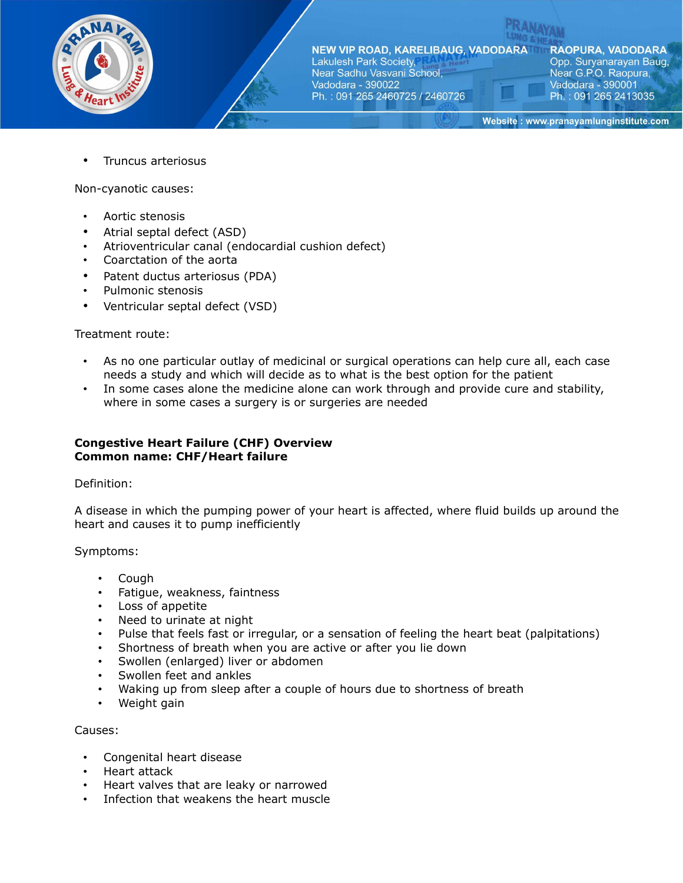

**NEW VIP ROAD, KARELIBAUG, VADODARAT** Lakulesh Park Society,

Near Sadhu Vasvani School, Vadodara - 390022 Ph.: 091 265 2460725 / 2460726 **RAOPURA, VADODARA** Opp. Suryanarayan Baug, Near G.P.O. Raopura, Vadodara - 390001 Ph.: 091 265 2413035

Website: www.pranayamlunginstitute.com

• Truncus arteriosus

Non-cyanotic causes:

- Aortic stenosis
- Atrial septal defect (ASD)
- Atrioventricular canal (endocardial cushion defect)
- Coarctation of the aorta
- Patent ductus arteriosus (PDA)
- Pulmonic stenosis
- Ventricular septal defect (VSD)

### Treatment route:

- As no one particular outlay of medicinal or surgical operations can help cure all, each case needs a study and which will decide as to what is the best option for the patient
- In some cases alone the medicine alone can work through and provide cure and stability, where in some cases a surgery is or surgeries are needed

### **Congestive Heart Failure (CHF) Overview Common name: CHF/Heart failure**

### Definition:

A disease in which the pumping power of your heart is affected, where fluid builds up around the heart and causes it to pump inefficiently

Symptoms:

- Cough
- Fatigue, weakness, faintness
- Loss of appetite
- Need to urinate at night
- Pulse that feels fast or irregular, or a sensation of feeling the heart beat (palpitations)
- Shortness of breath when you are active or after you lie down
- Swollen (enlarged) liver or abdomen
- Swollen feet and ankles
- Waking up from sleep after a couple of hours due to shortness of breath
- Weight gain

### Causes:

- Congenital heart disease
- Heart attack
- Heart valves that are leaky or narrowed
- Infection that weakens the heart muscle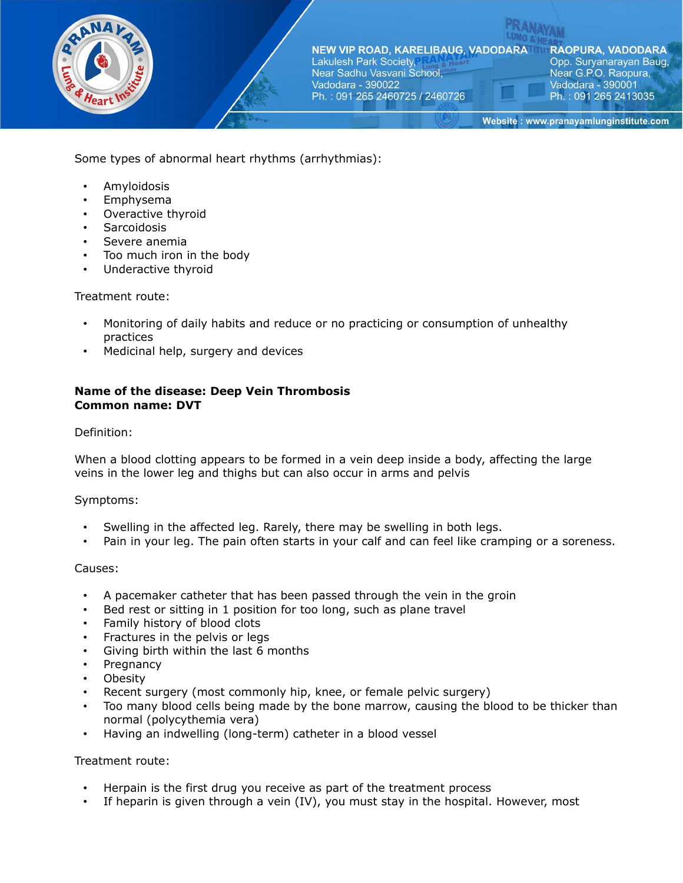

Some types of abnormal heart rhythms (arrhythmias):

- Amyloidosis
- Emphysema
- Overactive thyroid
- **Sarcoidosis**
- Severe anemia
- Too much iron in the body
- Underactive thyroid

### Treatment route:

- Monitoring of daily habits and reduce or no practicing or consumption of unhealthy practices
- Medicinal help, surgery and devices

### **Name of the disease: Deep Vein Thrombosis Common name: DVT**

### Definition:

When a blood clotting appears to be formed in a vein deep inside a body, affecting the large veins in the lower leg and thighs but can also occur in arms and pelvis

### Symptoms:

- Swelling in the affected leg. Rarely, there may be swelling in both legs.
- Pain in your leg. The pain often starts in your calf and can feel like cramping or a soreness.

### Causes:

- A pacemaker catheter that has been passed through the vein in the groin
- Bed rest or sitting in 1 position for too long, such as plane travel
- Family history of blood clots
- Fractures in the pelvis or legs
- Giving birth within the last 6 months
- **Pregnancy**
- Obesity
- Recent surgery (most commonly hip, knee, or female pelvic surgery)
- Too many blood cells being made by the bone marrow, causing the blood to be thicker than normal (polycythemia vera)
- Having an indwelling (long-term) catheter in a blood vessel

- Herpain is the first drug you receive as part of the treatment process
- If heparin is given through a vein  $(IV)$ , you must stay in the hospital. However, most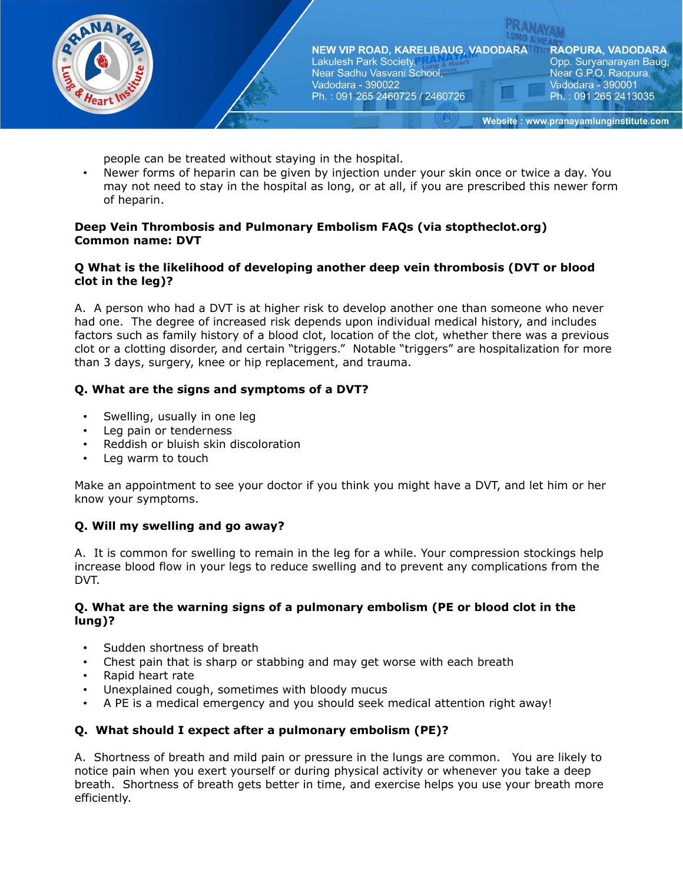

people can be treated without staying in the hospital.

• Newer forms of heparin can be given by injection under your skin once or twice a day. You may not need to stay in the hospital as long, or at all, if you are prescribed this newer form of heparin.

## **Deep Vein Thrombosis and Pulmonary Embolism FAQs (via stoptheclot.org) Common name: DVT**

# **Q What is the likelihood of developing another deep vein thrombosis (DVT or blood clot in the leg)?**

A. A person who had a DVT is at higher risk to develop another one than someone who never had one. The degree of increased risk depends upon individual medical history, and includes factors such as family history of a blood clot, location of the clot, whether there was a previous clot or a clotting disorder, and certain "triggers." Notable "triggers" are hospitalization for more than 3 days, surgery, knee or hip replacement, and trauma.

# **Q. What are the signs and symptoms of a DVT?**

- Swelling, usually in one leg
- Leg pain or tenderness
- Reddish or bluish skin discoloration
- Leg warm to touch

Make an appointment to see your doctor if you think you might have a DVT, and let him or her know your symptoms.

# **Q. Will my swelling and go away?**

A. It is common for swelling to remain in the leg for a while. Your compression stockings help increase blood flow in your legs to reduce swelling and to prevent any complications from the DVT.

## **Q. What are the warning signs of a pulmonary embolism (PE or blood clot in the lung)?**

- Sudden shortness of breath
- Chest pain that is sharp or stabbing and may get worse with each breath
- Rapid heart rate
- Unexplained cough, sometimes with bloody mucus
- A PE is a medical emergency and you should seek medical attention right away!

# **Q. What should I expect after a pulmonary embolism (PE)?**

A. Shortness of breath and mild pain or pressure in the lungs are common. You are likely to notice pain when you exert yourself or during physical activity or whenever you take a deep breath. Shortness of breath gets better in time, and exercise helps you use your breath more efficiently.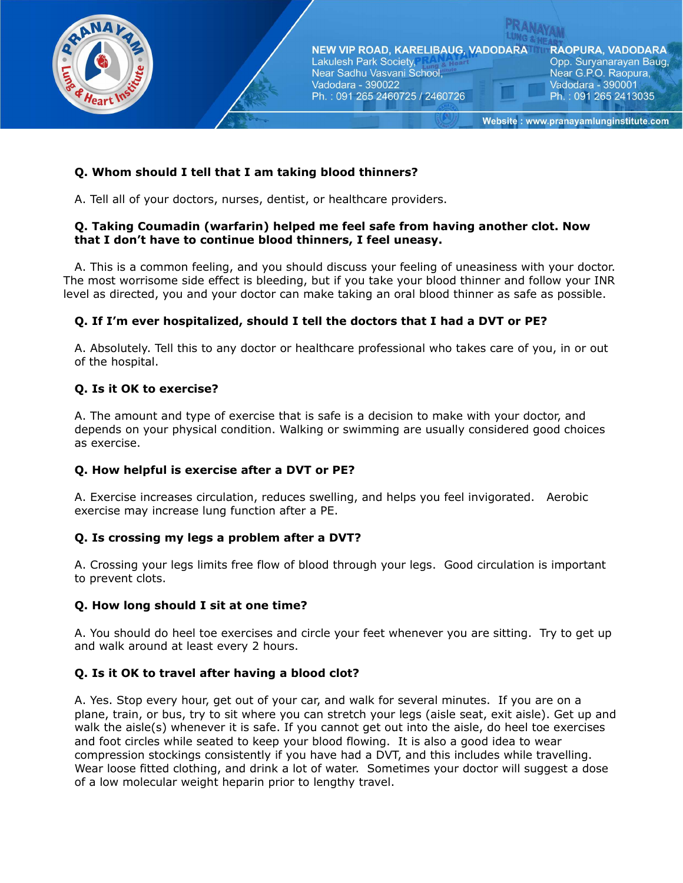

# **Q. Whom should I tell that I am taking blood thinners?**

A. Tell all of your doctors, nurses, dentist, or healthcare providers.

## **Q. Taking Coumadin (warfarin) helped me feel safe from having another clot. Now that I don't have to continue blood thinners, I feel uneasy.**

A. This is a common feeling, and you should discuss your feeling of uneasiness with your doctor. The most worrisome side effect is bleeding, but if you take your blood thinner and follow your INR level as directed, you and your doctor can make taking an oral blood thinner as safe as possible.

# **Q. If I'm ever hospitalized, should I tell the doctors that I had a DVT or PE?**

A. Absolutely. Tell this to any doctor or healthcare professional who takes care of you, in or out of the hospital.

# **Q. Is it OK to exercise?**

A. The amount and type of exercise that is safe is a decision to make with your doctor, and depends on your physical condition. Walking or swimming are usually considered good choices as exercise.

# **Q. How helpful is exercise after a DVT or PE?**

A. Exercise increases circulation, reduces swelling, and helps you feel invigorated. Aerobic exercise may increase lung function after a PE.

# **Q. Is crossing my legs a problem after a DVT?**

A. Crossing your legs limits free flow of blood through your legs. Good circulation is important to prevent clots.

### **Q. How long should I sit at one time?**

A. You should do heel toe exercises and circle your feet whenever you are sitting. Try to get up and walk around at least every 2 hours.

### **Q. Is it OK to travel after having a blood clot?**

A. Yes. Stop every hour, get out of your car, and walk for several minutes. If you are on a plane, train, or bus, try to sit where you can stretch your legs (aisle seat, exit aisle). Get up and walk the aisle(s) whenever it is safe. If you cannot get out into the aisle, do heel toe exercises and foot circles while seated to keep your blood flowing. It is also a good idea to wear compression stockings consistently if you have had a DVT, and this includes while travelling. Wear loose fitted clothing, and drink a lot of water. Sometimes your doctor will suggest a dose of a low molecular weight heparin prior to lengthy travel.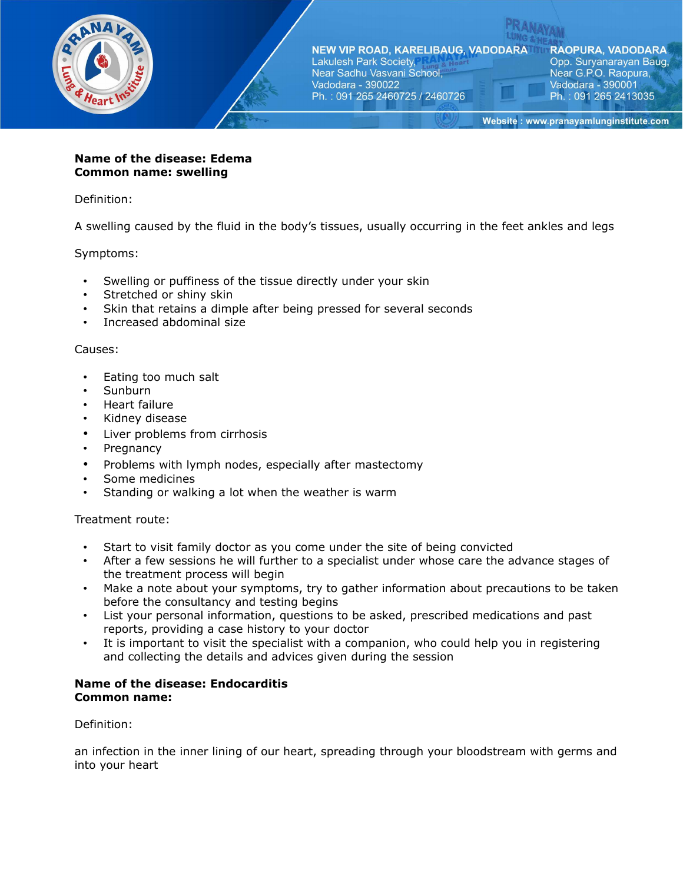

**RAOPURA, VADODARA** Opp. Suryanarayan Baug, Near G.P.O. Raopura, Vadodara - 390001 Ph.: 091 265 2413035

Website: www.pranayamlunginstitute.com

### **Name of the disease: Edema Common name: swelling**

Definition:

A swelling caused by the fluid in the body's tissues, usually occurring in the feet ankles and legs

Symptoms:

- Swelling or puffiness of the tissue directly under your skin
- Stretched or shiny skin
- Skin that retains a dimple after being pressed for several seconds
- Increased abdominal size

#### Causes:

- Eating too much salt
- Sunburn
- Heart failure
- Kidney disease
- Liver problems from cirrhosis
- **Pregnancy**
- Problems with lymph nodes, especially after mastectomy
- Some medicines
- Standing or walking a lot when the weather is warm

Treatment route:

- Start to visit family doctor as you come under the site of being convicted
- After a few sessions he will further to a specialist under whose care the advance stages of the treatment process will begin
- Make a note about your symptoms, try to gather information about precautions to be taken before the consultancy and testing begins
- List your personal information, questions to be asked, prescribed medications and past reports, providing a case history to your doctor
- It is important to visit the specialist with a companion, who could help you in registering and collecting the details and advices given during the session

### **Name of the disease: Endocarditis Common name:**

Definition:

an infection in the inner lining of our heart, spreading through your bloodstream with germs and into your heart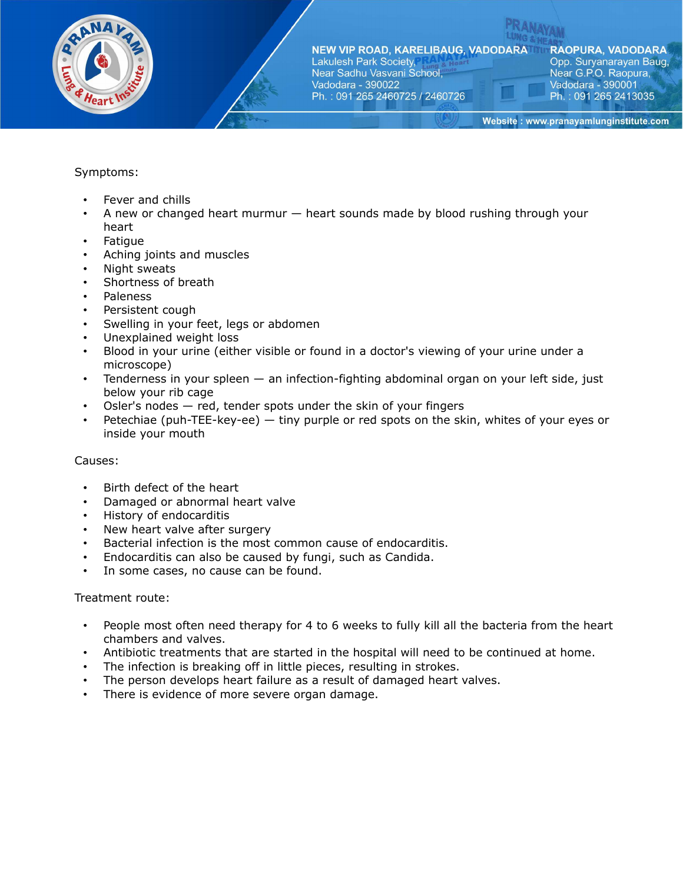

NEW VIP ROAD, KARELIBAUG, VADODARA Lakulesh Park Society, Near Sadhu Vasvani School,

Ph.: 091 265 2460725 / 2460726

**RAOPURA, VADODARA** Opp. Suryanarayan Baug, Near G.P.O. Raopura, Vadodara - 390001 Ph.: 091 265 2413035

Website: www.pranayamlunginstitute.com

## Symptoms:

- Fever and chills
- A new or changed heart murmur heart sounds made by blood rushing through your heart

Vadodara - 390022

- **Fatigue**
- Aching joints and muscles
- Night sweats
- Shortness of breath
- Paleness
- Persistent cough
- Swelling in your feet, legs or abdomen
- Unexplained weight loss
- Blood in your urine (either visible or found in a doctor's viewing of your urine under a microscope)
- Tenderness in your spleen an infection-fighting abdominal organ on your left side, just below your rib cage
- Osler's nodes  $-$  red, tender spots under the skin of your fingers
- Petechiae (puh-TEE-key-ee) tiny purple or red spots on the skin, whites of your eyes or inside your mouth

### Causes:

- Birth defect of the heart
- Damaged or abnormal heart valve
- History of endocarditis
- New heart valve after surgery
- Bacterial infection is the most common cause of endocarditis.
- Endocarditis can also be caused by fungi, such as Candida.
- In some cases, no cause can be found.

- People most often need therapy for 4 to 6 weeks to fully kill all the bacteria from the heart chambers and valves.
- Antibiotic treatments that are started in the hospital will need to be continued at home.
- The infection is breaking off in little pieces, resulting in strokes.
- The person develops heart failure as a result of damaged heart valves.
- There is evidence of more severe organ damage.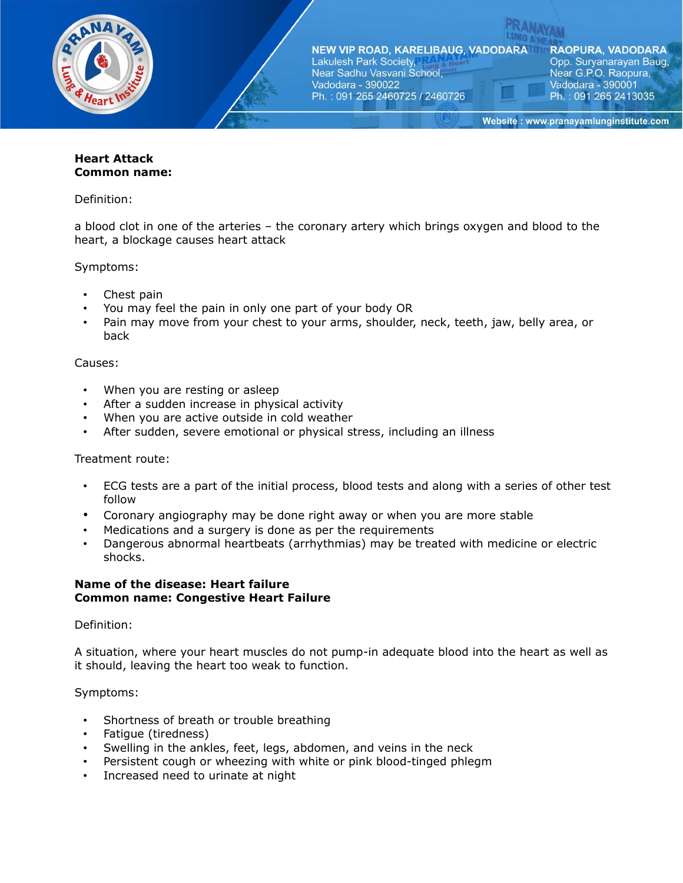

**RAOPURA, VADODARA** Opp. Suryanarayan Baug, Near G.P.O. Raopura, Vadodara - 390001 Ph.: 091 265 2413035

Website: www.pranayamlunginstitute.com

## **Heart Attack Common name:**

Definition:

a blood clot in one of the arteries – the coronary artery which brings oxygen and blood to the heart, a blockage causes heart attack

Symptoms:

- Chest pain
- You may feel the pain in only one part of your body OR
- Pain may move from your chest to your arms, shoulder, neck, teeth, jaw, belly area, or back

Causes:

- When you are resting or asleep
- After a sudden increase in physical activity
- When you are active outside in cold weather
- After sudden, severe emotional or physical stress, including an illness

Treatment route:

- ECG tests are a part of the initial process, blood tests and along with a series of other test follow
- Coronary angiography may be done right away or when you are more stable
- Medications and a surgery is done as per the requirements
- Dangerous abnormal heartbeats (arrhythmias) may be treated with medicine or electric shocks.

### **Name of the disease: Heart failure Common name: Congestive Heart Failure**

Definition:

A situation, where your heart muscles do not pump-in adequate blood into the heart as well as it should, leaving the heart too weak to function.

Symptoms:

- Shortness of breath or trouble breathing
- Fatigue (tiredness)
- Swelling in the ankles, feet, legs, abdomen, and veins in the neck
- Persistent cough or wheezing with white or pink blood-tinged phlegm
- Increased need to urinate at night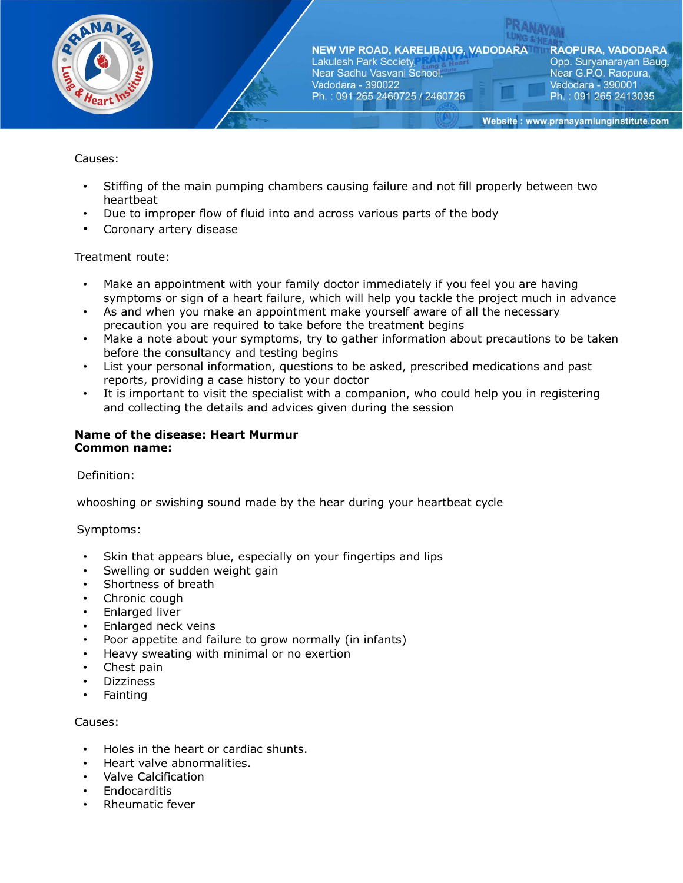

**RAOPURA, VADODARA** Opp. Suryanarayan Baug, Near G.P.O. Raopura, Vadodara - 390001 Ph.: 091 265 2413035

Website: www.pranayamlunginstitute.com

### Causes:

- Stiffing of the main pumping chambers causing failure and not fill properly between two heartbeat
- Due to improper flow of fluid into and across various parts of the body
- Coronary artery disease

### Treatment route:

- Make an appointment with your family doctor immediately if you feel you are having symptoms or sign of a heart failure, which will help you tackle the project much in advance
- As and when you make an appointment make yourself aware of all the necessary precaution you are required to take before the treatment begins
- Make a note about your symptoms, try to gather information about precautions to be taken before the consultancy and testing begins
- List your personal information, questions to be asked, prescribed medications and past reports, providing a case history to your doctor
- It is important to visit the specialist with a companion, who could help you in registering and collecting the details and advices given during the session

# **Name of the disease: Heart Murmur Common name:**

Definition:

whooshing or swishing sound made by the hear during your heartbeat cycle

Symptoms:

- Skin that appears blue, especially on your fingertips and lips
- Swelling or sudden weight gain
- Shortness of breath
- Chronic cough
- Enlarged liver
- Enlarged neck veins
- Poor appetite and failure to grow normally (in infants)
- Heavy sweating with minimal or no exertion
- Chest pain
- Dizziness
- Fainting

### Causes:

- Holes in the heart or cardiac shunts.
- Heart valve abnormalities.
- Valve Calcification
- **Endocarditis**
- Rheumatic fever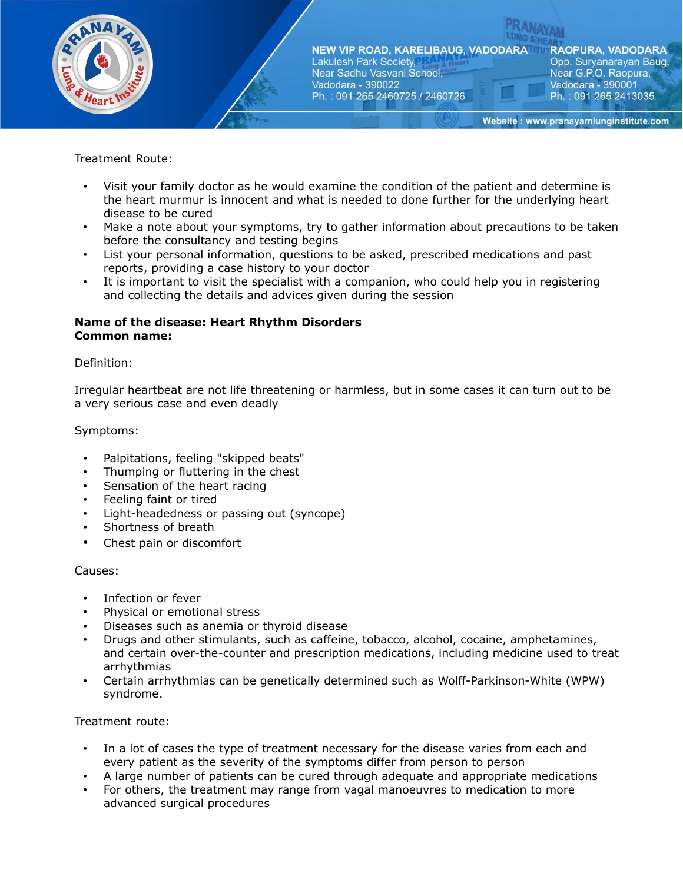

# Treatment Route:

- Visit your family doctor as he would examine the condition of the patient and determine is the heart murmur is innocent and what is needed to done further for the underlying heart disease to be cured
- Make a note about your symptoms, try to gather information about precautions to be taken before the consultancy and testing begins
- List your personal information, questions to be asked, prescribed medications and past reports, providing a case history to your doctor
- It is important to visit the specialist with a companion, who could help you in registering and collecting the details and advices given during the session

## **Name of the disease: Heart Rhythm Disorders Common name:**

### Definition:

Irregular heartbeat are not life threatening or harmless, but in some cases it can turn out to be a very serious case and even deadly

## Symptoms:

- Palpitations, feeling "skipped beats"
- Thumping or fluttering in the chest
- Sensation of the heart racing
- Feeling faint or tired
- Light-headedness or passing out (syncope)
- Shortness of breath
- Chest pain or discomfort

### Causes:

- Infection or fever
- Physical or emotional stress
- Diseases such as anemia or thyroid disease
- Drugs and other stimulants, such as caffeine, tobacco, alcohol, cocaine, amphetamines, and certain over-the-counter and prescription medications, including medicine used to treat arrhythmias
- Certain arrhythmias can be genetically determined such as Wolff-Parkinson-White (WPW) syndrome.

- In a lot of cases the type of treatment necessary for the disease varies from each and every patient as the severity of the symptoms differ from person to person
- A large number of patients can be cured through adequate and appropriate medications
- For others, the treatment may range from vagal manoeuvres to medication to more advanced surgical procedures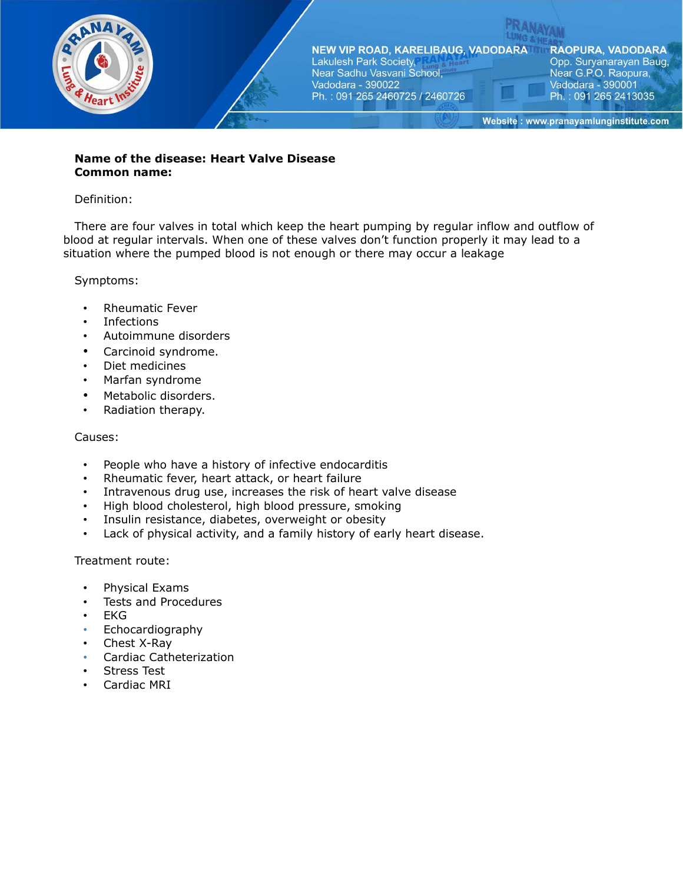

## **Name of the disease: Heart Valve Disease Common name:**

### Definition:

There are four valves in total which keep the heart pumping by regular inflow and outflow of blood at regular intervals. When one of these valves don't function properly it may lead to a situation where the pumped blood is not enough or there may occur a leakage

### Symptoms:

- Rheumatic Fever
- Infections
- Autoimmune disorders
- Carcinoid syndrome.
- Diet medicines
- Marfan syndrome
- Metabolic disorders.
- Radiation therapy.

#### Causes:

- People who have a history of infective endocarditis
- Rheumatic fever, heart attack, or heart failure
- Intravenous drug use, increases the risk of heart valve disease
- High blood cholesterol, high blood pressure, smoking
- Insulin resistance, diabetes, overweight or obesity
- Lack of physical activity, and a family history of early heart disease.

- Physical Exams
- Tests and Procedures
- EKG
- Echocardiography
- Chest X-Ray
- Cardiac Catheterization
- Stress Test
- Cardiac MRI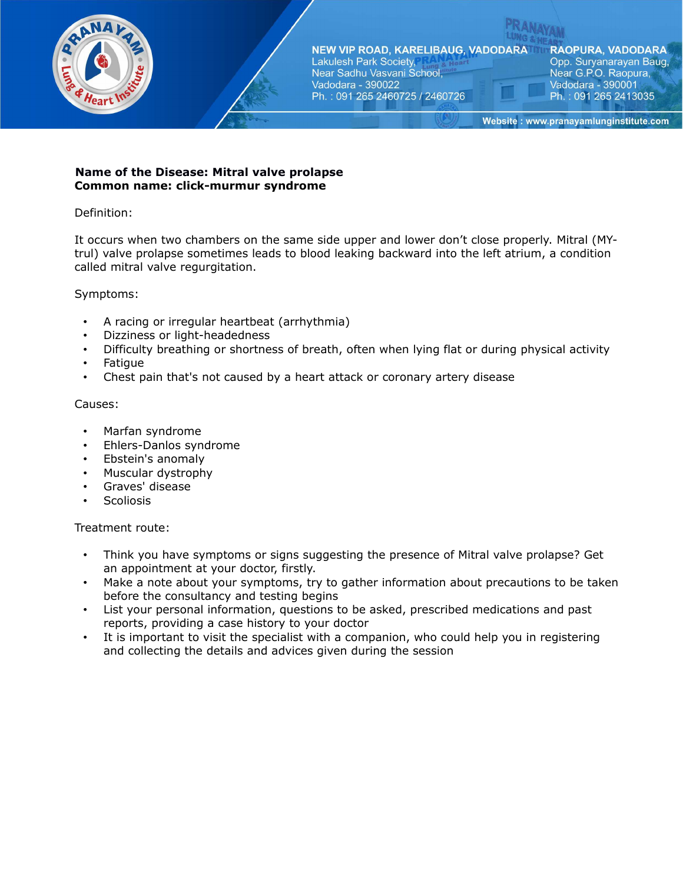

**RAOPURA, VADODARA** Opp. Suryanarayan Baug, Near G.P.O. Raopura, Vadodara - 390001 Ph.: 091 265 2413035

Website: www.pranayamlunginstitute.com

## **Name of the Disease: Mitral valve prolapse Common name: click-murmur syndrome**

## Definition:

It occurs when two chambers on the same side upper and lower don't close properly. Mitral (MYtrul) valve prolapse sometimes leads to blood leaking backward into the left atrium, a condition called mitral valve regurgitation.

## Symptoms:

- A racing or irregular heartbeat (arrhythmia)
- Dizziness or light-headedness
- Difficulty breathing or shortness of breath, often when lying flat or during physical activity
- Fatigue
- Chest pain that's not caused by a heart attack or coronary artery disease

### Causes:

- Marfan syndrome
- Ehlers-Danlos syndrome
- Ebstein's anomaly
- Muscular dystrophy
- Graves' disease
- Scoliosis

- Think you have symptoms or signs suggesting the presence of Mitral valve prolapse? Get an appointment at your doctor, firstly.
- Make a note about your symptoms, try to gather information about precautions to be taken before the consultancy and testing begins
- List your personal information, questions to be asked, prescribed medications and past reports, providing a case history to your doctor
- It is important to visit the specialist with a companion, who could help you in registering and collecting the details and advices given during the session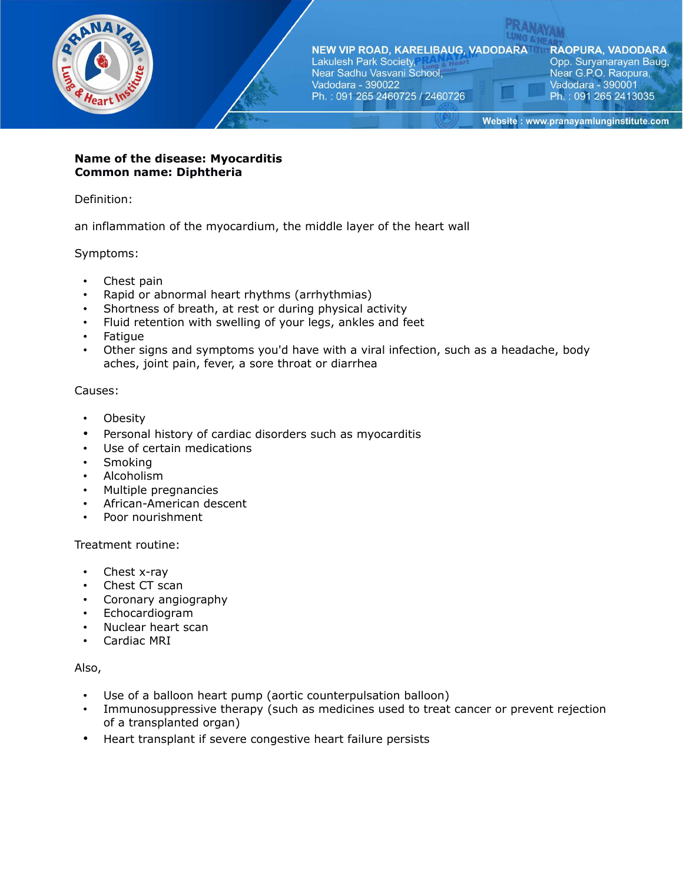

**RAOPURA, VADODARA** Opp. Suryanarayan Baug, Near G.P.O. Raopura, Vadodara - 390001 Ph.: 091 265 2413035

Website: www.pranayamlunginstitute.com

### **Name of the disease: Myocarditis Common name: Diphtheria**

Definition:

an inflammation of the myocardium, the middle layer of the heart wall

## Symptoms:

- Chest pain
- Rapid or abnormal heart rhythms (arrhythmias)
- Shortness of breath, at rest or during physical activity
- Fluid retention with swelling of your legs, ankles and feet
- Fatigue
- Other signs and symptoms you'd have with a viral infection, such as a headache, body aches, joint pain, fever, a sore throat or diarrhea

### Causes:

- **Obesity**
- Personal history of cardiac disorders such as myocarditis
- Use of certain medications
- Smoking
- Alcoholism
- Multiple pregnancies
- African-American descent
- Poor nourishment

### Treatment routine:

- Chest x-ray
- Chest CT scan
- Coronary angiography
- Echocardiogram
- Nuclear heart scan
- Cardiac MRI

### Also,

- Use of a balloon heart pump (aortic counterpulsation balloon)
- Immunosuppressive therapy (such as medicines used to treat cancer or prevent rejection of a transplanted organ)
- Heart transplant if severe congestive heart failure persists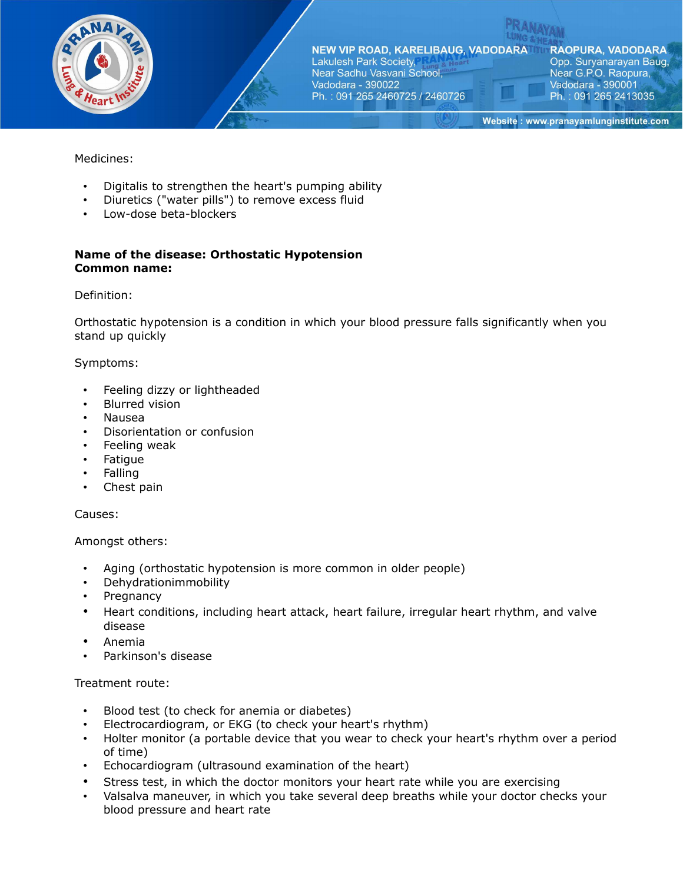

**RAOPURA, VADODARA** Opp. Suryanarayan Baug, Near G.P.O. Raopura, Vadodara - 390001 Ph.: 091 265 2413035

Website: www.pranayamlunginstitute.com

Medicines:

- Digitalis to strengthen the heart's pumping ability
- Diuretics ("water pills") to remove excess fluid
- Low-dose beta-blockers

# **Name of the disease: Orthostatic Hypotension Common name:**

### Definition:

Orthostatic hypotension is a condition in which your blood pressure falls significantly when you stand up quickly

### Symptoms:

- Feeling dizzy or lightheaded
- **Blurred vision**
- Nausea
- Disorientation or confusion
- Feeling weak
- Fatigue
- Falling
- Chest pain

### Causes:

Amongst others:

- Aging (orthostatic hypotension is more common in older people)
- Dehydrationimmobility
- Pregnancy
- Heart conditions, including heart attack, heart failure, irregular heart rhythm, and valve disease
- Anemia
- Parkinson's disease

- Blood test (to check for anemia or diabetes)
- Electrocardiogram, or EKG (to check your heart's rhythm)
- Holter monitor (a portable device that you wear to check your heart's rhythm over a period of time)
- Echocardiogram (ultrasound examination of the heart)
- Stress test, in which the doctor monitors your heart rate while you are exercising
- Valsalva maneuver, in which you take several deep breaths while your doctor checks your blood pressure and heart rate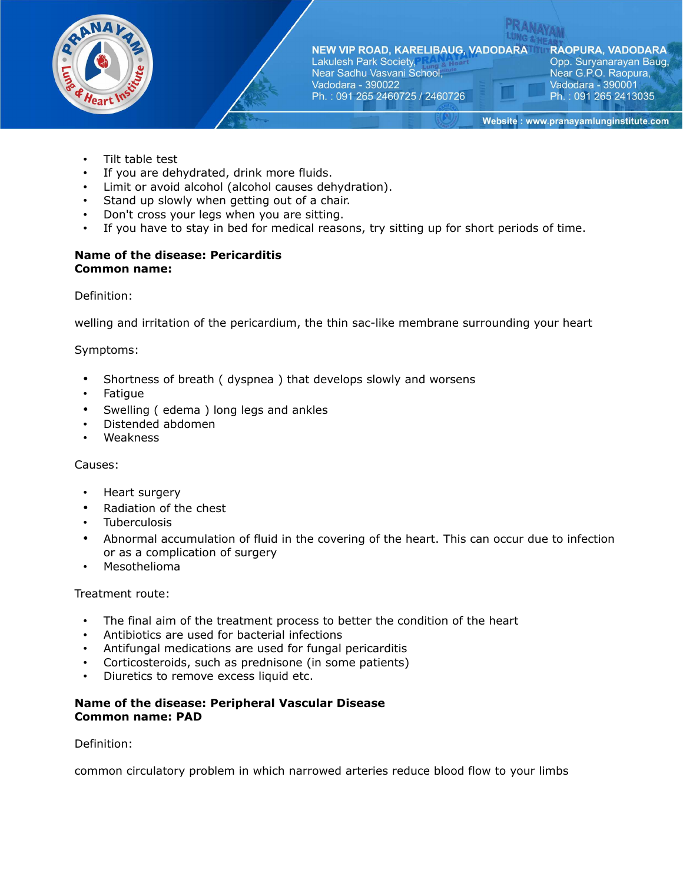

**RAOPURA, VADODARA** Opp. Suryanarayan Baug, Near G.P.O. Raopura, Vadodara - 390001 Ph.: 091 265 2413035

Website: www.pranayamlunginstitute.com

- Tilt table test
- If you are dehydrated, drink more fluids.
- Limit or avoid alcohol (alcohol causes dehydration).
- Stand up slowly when getting out of a chair.
- Don't cross your legs when you are sitting.
- If you have to stay in bed for medical reasons, try sitting up for short periods of time.

### **Name of the disease: Pericarditis Common name:**

Definition:

welling and irritation of the pericardium, the thin sac-like membrane surrounding your heart

### Symptoms:

- Shortness of breath ( dyspnea ) that develops slowly and worsens
- Fatigue
- Swelling ( edema ) long legs and ankles
- Distended abdomen
- Weakness

### Causes:

- Heart surgery
- Radiation of the chest
- **Tuberculosis**
- Abnormal accumulation of fluid in the covering of the heart. This can occur due to infection or as a complication of surgery
- Mesothelioma

Treatment route:

- The final aim of the treatment process to better the condition of the heart
- Antibiotics are used for bacterial infections
- Antifungal medications are used for fungal pericarditis
- Corticosteroids, such as prednisone (in some patients)
- Diuretics to remove excess liquid etc.

### **Name of the disease: Peripheral Vascular Disease Common name: PAD**

Definition:

common circulatory problem in which narrowed arteries reduce blood flow to your limbs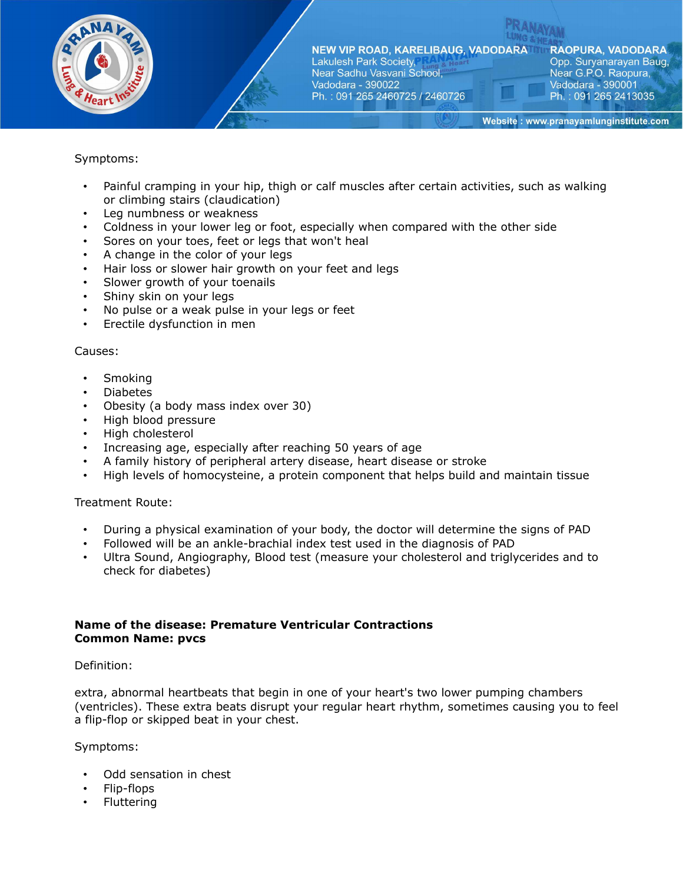

# Symptoms:

- Painful cramping in your hip, thigh or calf muscles after certain activities, such as walking or climbing stairs (claudication)
- Leg numbness or weakness
- Coldness in your lower leg or foot, especially when compared with the other side
- Sores on your toes, feet or legs that won't heal
- A change in the color of your legs
- Hair loss or slower hair growth on your feet and legs
- Slower growth of your toenails
- Shiny skin on your legs
- No pulse or a weak pulse in your legs or feet
- Erectile dysfunction in men

#### Causes:

- Smoking
- Diabetes
- Obesity (a body mass index over 30)
- High blood pressure
- High cholesterol
- Increasing age, especially after reaching 50 years of age
- A family history of peripheral artery disease, heart disease or stroke
- High levels of homocysteine, a protein component that helps build and maintain tissue

#### Treatment Route:

- During a physical examination of your body, the doctor will determine the signs of PAD
- Followed will be an ankle-brachial index test used in the diagnosis of PAD
- Ultra Sound, Angiography, Blood test (measure your cholesterol and triglycerides and to check for diabetes)

### **Name of the disease: Premature Ventricular Contractions Common Name: pvcs**

#### Definition:

extra, abnormal heartbeats that begin in one of your heart's two lower pumping chambers (ventricles). These extra beats disrupt your regular heart rhythm, sometimes causing you to feel a flip-flop or skipped beat in your chest.

Symptoms:

- Odd sensation in chest
- Flip-flops
- **Fluttering**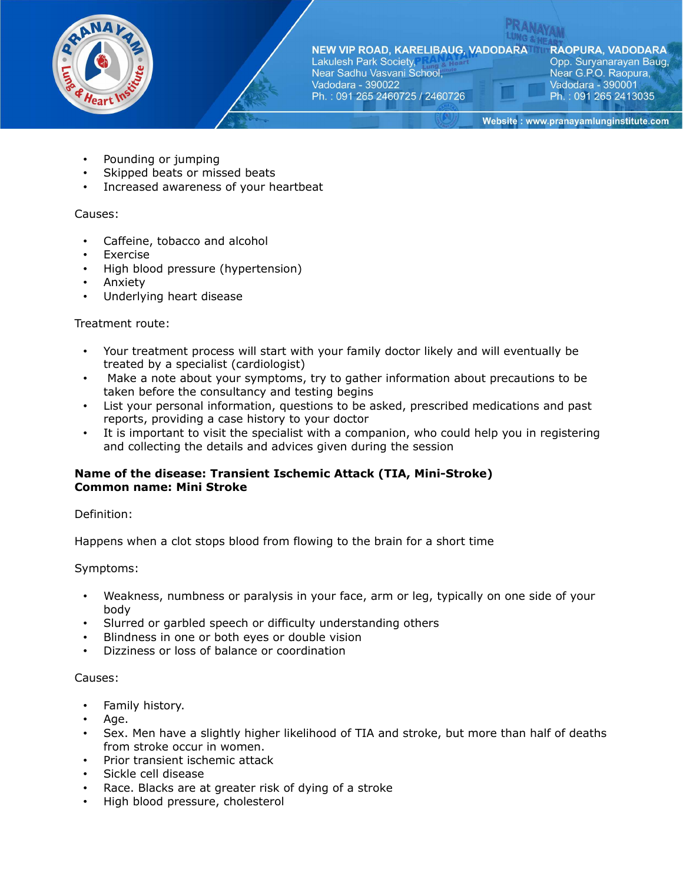

NEW VIP ROAD, KARELIBAUG, VADODARA Lakulesh Park Society,

Near Sadhu Vasvani School, Vadodara - 390022 Ph.: 091 265 2460725 / 2460726 **RAOPURA, VADODARA** Opp. Suryanarayan Baug, Near G.P.O. Raopura, Vadodara - 390001 Ph.: 091 265 2413035

Website: www.pranayamlunginstitute.com

- Pounding or jumping
- Skipped beats or missed beats
- Increased awareness of your heartbeat

## Causes:

- Caffeine, tobacco and alcohol
- Exercise
- High blood pressure (hypertension)
- Anxiety
- Underlying heart disease

### Treatment route:

- Your treatment process will start with your family doctor likely and will eventually be treated by a specialist (cardiologist)
- Make a note about your symptoms, try to gather information about precautions to be taken before the consultancy and testing begins
- List your personal information, questions to be asked, prescribed medications and past reports, providing a case history to your doctor
- It is important to visit the specialist with a companion, who could help you in registering and collecting the details and advices given during the session

## **Name of the disease: Transient Ischemic Attack (TIA, Mini-Stroke) Common name: Mini Stroke**

Definition:

Happens when a clot stops blood from flowing to the brain for a short time

Symptoms:

- Weakness, numbness or paralysis in your face, arm or leg, typically on one side of your body
- Slurred or garbled speech or difficulty understanding others
- Blindness in one or both eyes or double vision
- Dizziness or loss of balance or coordination

### Causes:

- Family history.
- Age.
- Sex. Men have a slightly higher likelihood of TIA and stroke, but more than half of deaths from stroke occur in women.
- Prior transient ischemic attack
- Sickle cell disease
- Race. Blacks are at greater risk of dying of a stroke
- High blood pressure, cholesterol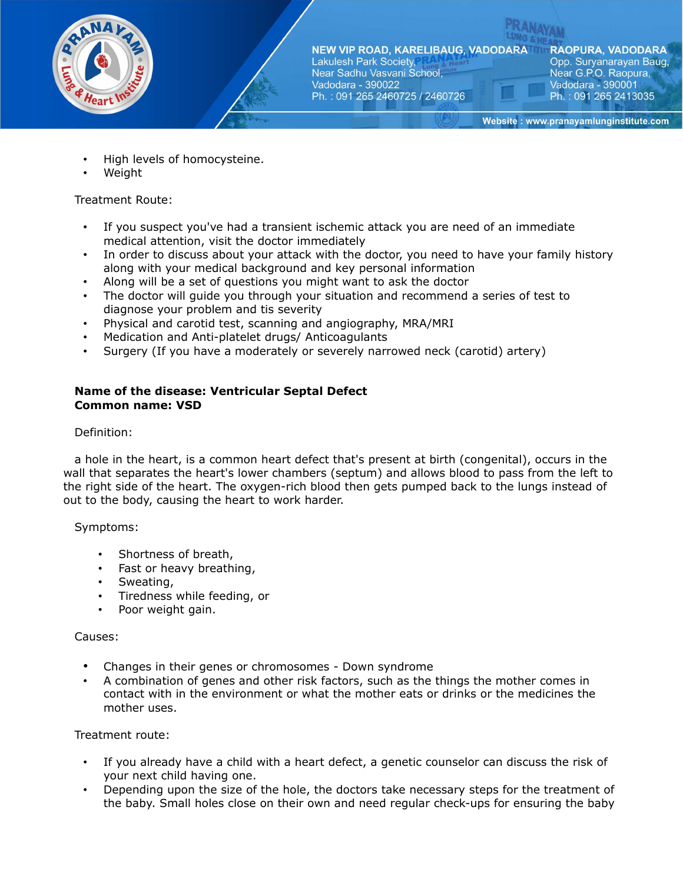

**RAOPURA, VADODARA** Opp. Suryanarayan Baug, Near G.P.O. Raopura, Vadodara - 390001 Ph.: 091 265 2413035

Website: www.pranayamlunginstitute.com

- High levels of homocysteine.
- Weight

Treatment Route:

- If you suspect you've had a transient ischemic attack you are need of an immediate medical attention, visit the doctor immediately
- In order to discuss about your attack with the doctor, you need to have your family history along with your medical background and key personal information
- Along will be a set of questions you might want to ask the doctor
- The doctor will guide you through your situation and recommend a series of test to diagnose your problem and tis severity
- Physical and carotid test, scanning and angiography, MRA/MRI
- Medication and Anti-platelet drugs/ Anticoagulants
- Surgery (If you have a moderately or severely narrowed neck (carotid) artery)

### **Name of the disease: Ventricular Septal Defect Common name: VSD**

### Definition:

a hole in the heart, is a common heart defect that's present at birth (congenital), occurs in the wall that separates the heart's lower chambers (septum) and allows blood to pass from the left to the right side of the heart. The oxygen-rich blood then gets pumped back to the lungs instead of out to the body, causing the heart to work harder.

### Symptoms:

- Shortness of breath,
- Fast or heavy breathing,
- Sweating,
- Tiredness while feeding, or
- Poor weight gain.

### Causes:

- Changes in their genes or chromosomes Down syndrome
- A combination of genes and other risk factors, such as the things the mother comes in contact with in the environment or what the mother eats or drinks or the medicines the mother uses.

- If you already have a child with a heart defect, a genetic counselor can discuss the risk of your next child having one.
- Depending upon the size of the hole, the doctors take necessary steps for the treatment of the baby. Small holes close on their own and need regular check-ups for ensuring the baby